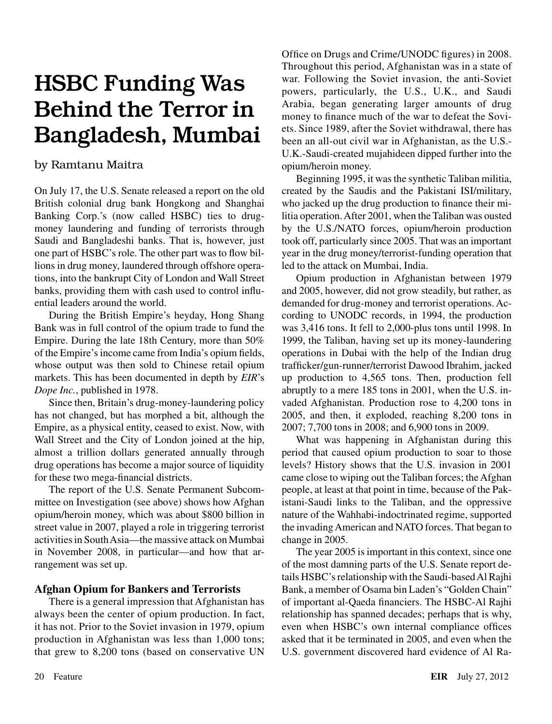# HSBC Funding Was Behind the Terror in Bangladesh, Mumbai

## by Ramtanu Maitra

On July 17, the U.S. Senate released a report on the old British colonial drug bank Hongkong and Shanghai Banking Corp.'s (now called HSBC) ties to drugmoney laundering and funding of terrorists through Saudi and Bangladeshi banks. That is, however, just one part of HSBC's role. The other part was to flow billions in drug money, laundered through offshore operations, into the bankrupt City of London and Wall Street banks, providing them with cash used to control influential leaders around the world.

During the British Empire's heyday, Hong Shang Bank was in full control of the opium trade to fund the Empire. During the late 18th Century, more than 50% of the Empire's income came from India's opium fields, whose output was then sold to Chinese retail opium markets. This has been documented in depth by *EIR*'s *Dope Inc.*, published in 1978.

Since then, Britain's drug-money-laundering policy has not changed, but has morphed a bit, although the Empire, as a physical entity, ceased to exist. Now, with Wall Street and the City of London joined at the hip, almost a trillion dollars generated annually through drug operations has become a major source of liquidity for these two mega-financial districts.

The report of the U.S. Senate Permanent Subcommittee on Investigation (see above) shows how Afghan opium/heroin money, which was about \$800 billion in street value in 2007, played a role in triggering terrorist activities in South Asia—the massive attack on Mumbai in November 2008, in particular—and how that arrangement was set up.

### **Afghan Opium for Bankers and Terrorists**

There is a general impression that Afghanistan has always been the center of opium production. In fact, it has not. Prior to the Soviet invasion in 1979, opium production in Afghanistan was less than 1,000 tons; that grew to 8,200 tons (based on conservative UN Office on Drugs and Crime/UNODC figures) in 2008. Throughout this period, Afghanistan was in a state of war. Following the Soviet invasion, the anti-Soviet powers, particularly, the U.S., U.K., and Saudi Arabia, began generating larger amounts of drug money to finance much of the war to defeat the Soviets. Since 1989, after the Soviet withdrawal, there has been an all-out civil war in Afghanistan, as the U.S.- U.K.-Saudi-created mujahideen dipped further into the opium/heroin money.

Beginning 1995, it was the synthetic Taliban militia, created by the Saudis and the Pakistani ISI/military, who jacked up the drug production to finance their militia operation. After 2001, when the Taliban was ousted by the U.S./NATO forces, opium/heroin production took off, particularly since 2005. That was an important year in the drug money/terrorist-funding operation that led to the attack on Mumbai, India.

Opium production in Afghanistan between 1979 and 2005, however, did not grow steadily, but rather, as demanded for drug-money and terrorist operations. According to UNODC records, in 1994, the production was 3,416 tons. It fell to 2,000-plus tons until 1998. In 1999, the Taliban, having set up its money-laundering operations in Dubai with the help of the Indian drug trafficker/gun-runner/terrorist Dawood Ibrahim, jacked up production to 4,565 tons. Then, production fell abruptly to a mere 185 tons in 2001, when the U.S. invaded Afghanistan. Production rose to 4,200 tons in 2005, and then, it exploded, reaching 8,200 tons in 2007; 7,700 tons in 2008; and 6,900 tons in 2009.

What was happening in Afghanistan during this period that caused opium production to soar to those levels? History shows that the U.S. invasion in 2001 came close to wiping out the Taliban forces; the Afghan people, at least at that point in time, because of the Pakistani-Saudi links to the Taliban, and the oppressive nature of the Wahhabi-indoctrinated regime, supported the invading American and NATO forces. That began to change in 2005.

The year 2005 is important in this context, since one of the most damning parts of the U.S. Senate report details HSBC's relationship with the Saudi-based Al Rajhi Bank, a member of Osama bin Laden's "Golden Chain" of important al-Qaeda financiers. The HSBC-Al Rajhi relationship has spanned decades; perhaps that is why, even when HSBC's own internal compliance offices asked that it be terminated in 2005, and even when the U.S. government discovered hard evidence of Al Ra-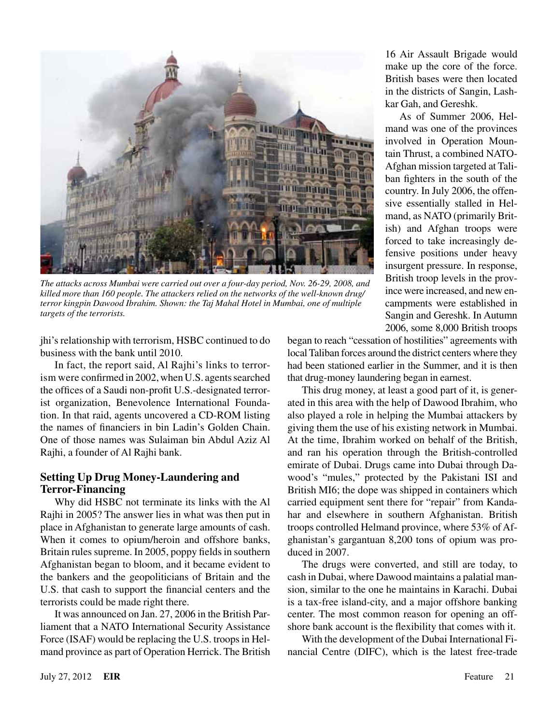

*The attacks across Mumbai were carried out over a four-day period, Nov. 26-29, 2008, and killed more than 160 people. The attackers relied on the networks of the well-known drug/ terror kingpin Dawood Ibrahim. Shown: the Taj Mahal Hotel in Mumbai, one of multiple targets of the terrorists.*

jhi's relationship with terrorism, HSBC continued to do business with the bank until 2010.

In fact, the report said, Al Rajhi's links to terrorism were confirmed in 2002, when U.S. agents searched the offices of a Saudi non-profit U.S.-designated terrorist organization, Benevolence International Foundation. In that raid, agents uncovered a CD-ROM listing the names of financiers in bin Ladin's Golden Chain. One of those names was Sulaiman bin Abdul Aziz Al Rajhi, a founder of Al Rajhi bank.

### **Setting Up Drug Money-Laundering and Terror-Financing**

Why did HSBC not terminate its links with the Al Rajhi in 2005? The answer lies in what was then put in place in Afghanistan to generate large amounts of cash. When it comes to opium/heroin and offshore banks, Britain rules supreme. In 2005, poppy fields in southern Afghanistan began to bloom, and it became evident to the bankers and the geopoliticians of Britain and the U.S. that cash to support the financial centers and the terrorists could be made right there.

It was announced on Jan. 27, 2006 in the British Parliament that a NATO International Security Assistance Force (ISAF) would be replacing the U.S. troops in Helmand province as part of Operation Herrick. The British

16 Air Assault Brigade would make up the core of the force. British bases were then located in the districts of Sangin, Lashkar Gah, and Gereshk.

As of Summer 2006, Helmand was one of the provinces involved in Operation Mountain Thrust, a combined NATO-Afghan mission targeted at Taliban fighters in the south of the country. In July 2006, the offensive essentially stalled in Helmand, as NATO (primarily British) and Afghan troops were forced to take increasingly defensive positions under heavy insurgent pressure. In response, British troop levels in the province were increased, and new encampments were established in Sangin and Gereshk. In Autumn 2006, some 8,000 British troops

began to reach "cessation of hostilities" agreements with local Taliban forces around the district centers where they had been stationed earlier in the Summer, and it is then that drug-money laundering began in earnest.

This drug money, at least a good part of it, is generated in this area with the help of Dawood Ibrahim, who also played a role in helping the Mumbai attackers by giving them the use of his existing network in Mumbai. At the time, Ibrahim worked on behalf of the British, and ran his operation through the British-controlled emirate of Dubai. Drugs came into Dubai through Dawood's "mules," protected by the Pakistani ISI and British MI6; the dope was shipped in containers which carried equipment sent there for "repair" from Kandahar and elsewhere in southern Afghanistan. British troops controlled Helmand province, where 53% of Afghanistan's gargantuan 8,200 tons of opium was produced in 2007.

The drugs were converted, and still are today, to cash in Dubai, where Dawood maintains a palatial mansion, similar to the one he maintains in Karachi. Dubai is a tax-free island-city, and a major offshore banking center. The most common reason for opening an offshore bank account is the flexibility that comes with it.

With the development of the Dubai International Financial Centre (DIFC), which is the latest free-trade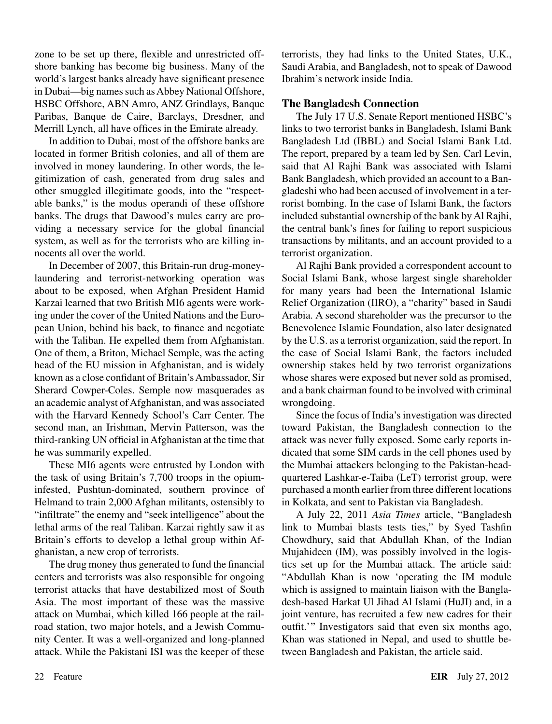zone to be set up there, flexible and unrestricted offshore banking has become big business. Many of the world's largest banks already have significant presence in Dubai—big names such as Abbey National Offshore, HSBC Offshore, ABN Amro, ANZ Grindlays, Banque Paribas, Banque de Caire, Barclays, Dresdner, and Merrill Lynch, all have offices in the Emirate already.

In addition to Dubai, most of the offshore banks are located in former British colonies, and all of them are involved in money laundering. In other words, the legitimization of cash, generated from drug sales and other smuggled illegitimate goods, into the "respectable banks," is the modus operandi of these offshore banks. The drugs that Dawood's mules carry are providing a necessary service for the global financial system, as well as for the terrorists who are killing innocents all over the world.

In December of 2007, this Britain-run drug-moneylaundering and terrorist-networking operation was about to be exposed, when Afghan President Hamid Karzai learned that two British MI6 agents were working under the cover of the United Nations and the European Union, behind his back, to finance and negotiate with the Taliban. He expelled them from Afghanistan. One of them, a Briton, Michael Semple, was the acting head of the EU mission in Afghanistan, and is widely known as a close confidant of Britain's Ambassador, Sir Sherard Cowper-Coles. Semple now masquerades as an academic analyst of Afghanistan, and was associated with the Harvard Kennedy School's Carr Center. The second man, an Irishman, Mervin Patterson, was the third-ranking UN official in Afghanistan at the time that he was summarily expelled.

These MI6 agents were entrusted by London with the task of using Britain's 7,700 troops in the opiuminfested, Pushtun-dominated, southern province of Helmand to train 2,000 Afghan militants, ostensibly to "infiltrate" the enemy and "seek intelligence" about the lethal arms of the real Taliban. Karzai rightly saw it as Britain's efforts to develop a lethal group within Afghanistan, a new crop of terrorists.

The drug money thus generated to fund the financial centers and terrorists was also responsible for ongoing terrorist attacks that have destabilized most of South Asia. The most important of these was the massive attack on Mumbai, which killed 166 people at the railroad station, two major hotels, and a Jewish Community Center. It was a well-organized and long-planned attack. While the Pakistani ISI was the keeper of these terrorists, they had links to the United States, U.K., Saudi Arabia, and Bangladesh, not to speak of Dawood Ibrahim's network inside India.

#### **The Bangladesh Connection**

The July 17 U.S. Senate Report mentioned HSBC's links to two terrorist banks in Bangladesh, Islami Bank Bangladesh Ltd (IBBL) and Social Islami Bank Ltd. The report, prepared by a team led by Sen. Carl Levin, said that Al Rajhi Bank was associated with Islami Bank Bangladesh, which provided an account to a Bangladeshi who had been accused of involvement in a terrorist bombing. In the case of Islami Bank, the factors included substantial ownership of the bank by Al Rajhi, the central bank's fines for failing to report suspicious transactions by militants, and an account provided to a terrorist organization.

Al Rajhi Bank provided a correspondent account to Social Islami Bank, whose largest single shareholder for many years had been the International Islamic Relief Organization (IIRO), a "charity" based in Saudi Arabia. A second shareholder was the precursor to the Benevolence Islamic Foundation, also later designated by the U.S. as a terrorist organization, said the report. In the case of Social Islami Bank, the factors included ownership stakes held by two terrorist organizations whose shares were exposed but never sold as promised, and a bank chairman found to be involved with criminal wrongdoing.

Since the focus of India's investigation was directed toward Pakistan, the Bangladesh connection to the attack was never fully exposed. Some early reports indicated that some SIM cards in the cell phones used by the Mumbai attackers belonging to the Pakistan-headquartered Lashkar-e-Taiba (LeT) terrorist group, were purchased a month earlier from three different locations in Kolkata, and sent to Pakistan via Bangladesh.

A July 22, 2011 *Asia Times* article, "Bangladesh link to Mumbai blasts tests ties," by Syed Tashfin Chowdhury, said that Abdullah Khan, of the Indian Mujahideen (IM), was possibly involved in the logistics set up for the Mumbai attack. The article said: "Abdullah Khan is now 'operating the IM module which is assigned to maintain liaison with the Bangladesh-based Harkat Ul Jihad Al Islami (HuJI) and, in a joint venture, has recruited a few new cadres for their outfit.'" Investigators said that even six months ago, Khan was stationed in Nepal, and used to shuttle between Bangladesh and Pakistan, the article said.